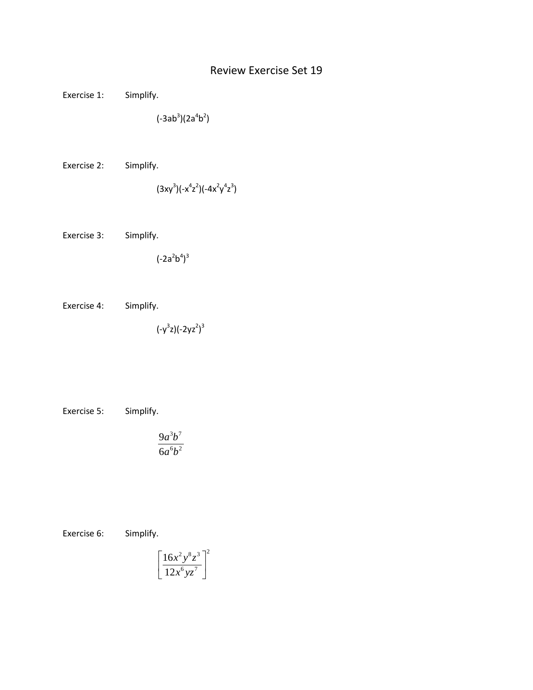## Review Exercise Set 19

Exercise 1: Simplify.

 $(-3ab^3)(2a^4b^2)$ 

Exercise 2: Simplify.

$$
(3xy^3)(-x^4z^2)(-4x^2y^4z^3)
$$

Exercise 3: Simplify.

 $(-2a^2b^4)^3$ 

Exercise 4: Simplify.

 $(-y^3z)(-2yz^2)^3$ 

Exercise 5: Simplify.

$$
\frac{9a^3b^7}{6a^6b^2}
$$

Exercise 6: Simplify.

$$
\left[\frac{16x^2y^8z^3}{12x^6yz^7}\right]^2
$$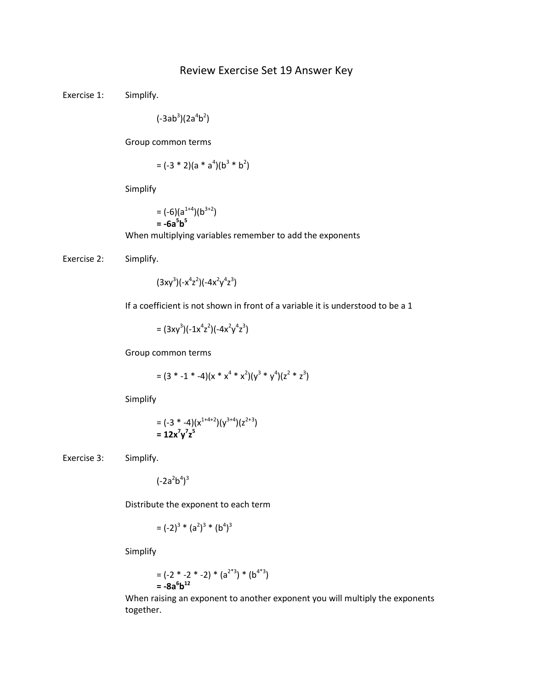## Review Exercise Set 19 Answer Key

Exercise 1: Simplify.

 $(-3ab^3)(2a^4b^2)$ 

Group common terms

$$
= (-3 * 2)(a * a4)(b3 * b2)
$$

Simplify

 $= (-6)(a^{1+4})(b^{3+2})$ **= -6a5 b5** When multiplying variables remember to add the exponents

Exercise 2: Simplify.

 $(3xy^3)(-x^4z^2)(-4x^2y^4z^3)$ 

If a coefficient is not shown in front of a variable it is understood to be a 1

=  $(3xy^3)(-1x^4z^2)(-4x^2y^4z^3)$ 

Group common terms

$$
= (3 * -1 * -4)(x * x4 * x2)(y3 * y4)(z2 * z3)
$$

Simplify

$$
= (-3 * -4)(x^{1+4+2})(y^{3+4})(z^{2+3})
$$
  
= 12x<sup>7</sup>y<sup>7</sup>z<sup>5</sup>

Exercise 3: Simplify.

 $(-2a^2b^4)^3$ 

Distribute the exponent to each term

$$
= (-2)^3 * (a^2)^3 * (b^4)^3
$$

Simplify

$$
= (-2 * -2 * -2) * (a2*3) * (b4*3)
$$
  
= -8a<sup>6</sup>b<sup>12</sup>

When raising an exponent to another exponent you will multiply the exponents together.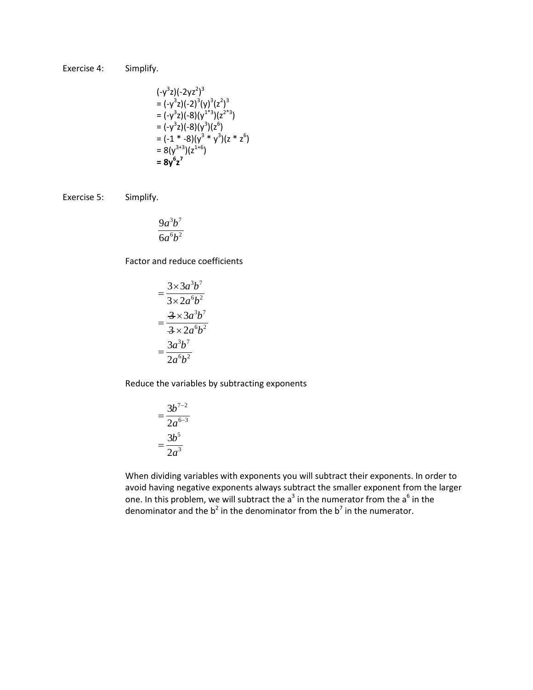Exercise 4: Simplify.

$$
(-y^3z)(-2yz^2)^3
$$
  
=  $(-y^3z)(-2)^3(y)^3(z^2)^3$   
=  $(-y^3z)(-8)(y^{1*3})(z^{2*3})$   
=  $(-y^3z)(-8)(y^3)(z^6)$   
=  $(-1 * -8)(y^3 * y^3)(z * z^6)$   
=  $8(y^{3*3})(z^{1+6})$   
=  $8y^6z^7$ 

Exercise 5: Simplify.

$$
\frac{9a^3b^7}{6a^6b^2}
$$

Factor and reduce coefficients

$$
=\frac{3\times3a^3b^7}{3\times2a^6b^2}
$$

$$
=\frac{3\times3a^3b^7}{3\times2a^6b^2}
$$

$$
=\frac{3a^3b^7}{2a^6b^2}
$$

Reduce the variables by subtracting exponents

$$
=\frac{3b^{7-2}}{2a^{6-3}}
$$

$$
=\frac{3b^5}{2a^3}
$$

When dividing variables with exponents you will subtract their exponents. In order to avoid having negative exponents always subtract the smaller exponent from the larger one. In this problem, we will subtract the  $a^3$  in the numerator from the  $a^6$  in the denominator and the  $b^2$  in the denominator from the  $b^7$  in the numerator.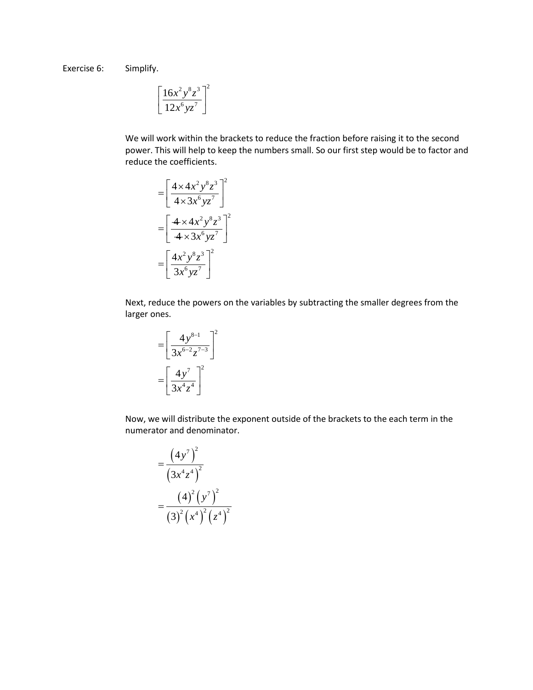Exercise 6: Simplify.

$$
\left[\frac{16x^2y^8z^3}{12x^6yz^7}\right]^2
$$

We will work within the brackets to reduce the fraction before raising it to the second power. This will help to keep the numbers small. So our first step would be to factor and reduce the coefficients.

$$
= \left[\frac{4 \times 4x^2y^8z^3}{4 \times 3x^6yz^7}\right]^2
$$

$$
= \left[\frac{4 \times 4x^2y^8z^3}{4 \times 3x^6yz^7}\right]^2
$$

$$
= \left[\frac{4x^2y^8z^3}{3x^6yz^7}\right]^2
$$

Next, reduce the powers on the variables by subtracting the smaller degrees from the larger ones.

$$
= \left[\frac{4y^{8-1}}{3x^{6-2}z^{7-3}}\right]^2
$$

$$
= \left[\frac{4y^7}{3x^4z^4}\right]^2
$$

Now, we will distribute the exponent outside of the brackets to the each term in the numerator and denominator.

$$
=\frac{(4y^{7})^{2}}{(3x^{4}z^{4})^{2}}
$$

$$
=\frac{(4)^{2}(y^{7})^{2}}{(3)^{2}(x^{4})^{2}(z^{4})^{2}}
$$